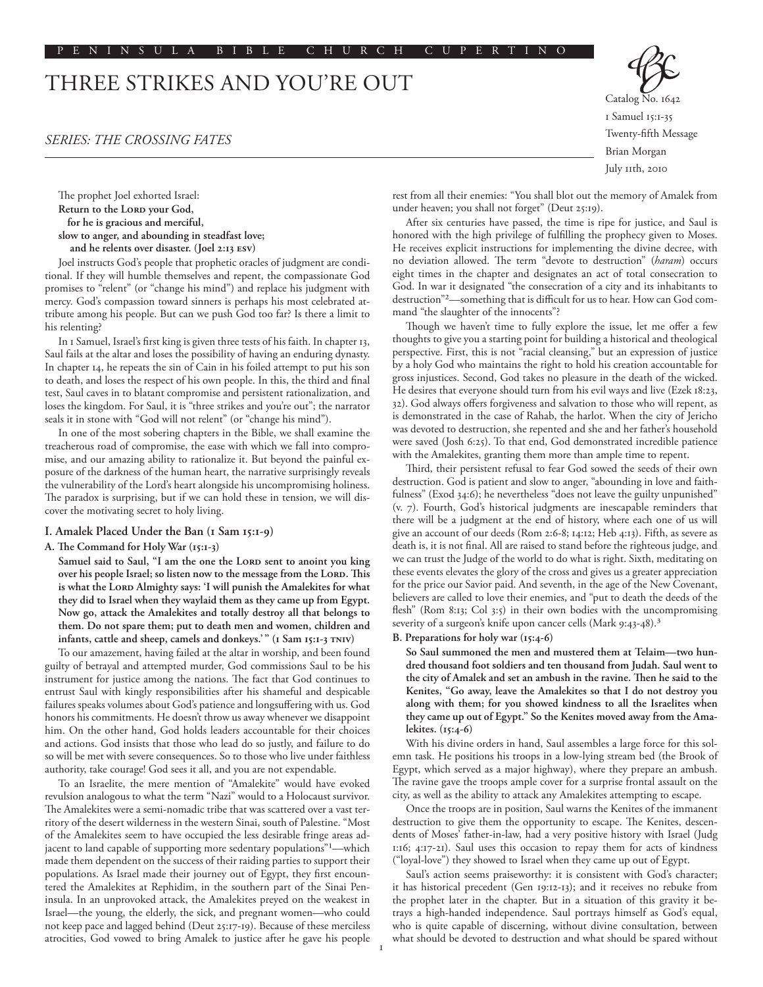# THREE STRIKES AND YOU'RE OUT

# *Series: The Crossing Fates*

The prophet Joel exhorted Israel: Return to the LORD your God, **for he is gracious and merciful, slow to anger, and abounding in steadfast love; and he relents over disaster. (Joel 2:13 esv)**

Joel instructs God's people that prophetic oracles of judgment are conditional. If they will humble themselves and repent, the compassionate God promises to "relent" (or "change his mind") and replace his judgment with mercy. God's compassion toward sinners is perhaps his most celebrated attribute among his people. But can we push God too far? Is there a limit to his relenting?

In 1 Samuel, Israel's first king is given three tests of his faith. In chapter 13, Saul fails at the altar and loses the possibility of having an enduring dynasty. In chapter 14, he repeats the sin of Cain in his foiled attempt to put his son to death, and loses the respect of his own people. In this, the third and final test, Saul caves in to blatant compromise and persistent rationalization, and loses the kingdom. For Saul, it is "three strikes and you're out"; the narrator seals it in stone with "God will not relent" (or "change his mind").

In one of the most sobering chapters in the Bible, we shall examine the treacherous road of compromise, the ease with which we fall into compromise, and our amazing ability to rationalize it. But beyond the painful exposure of the darkness of the human heart, the narrative surprisingly reveals the vulnerability of the Lord's heart alongside his uncompromising holiness. The paradox is surprising, but if we can hold these in tension, we will discover the motivating secret to holy living.

#### **I. Amalek Placed Under the Ban (1 Sam 15:1-9)**

## **A. The Command for Holy War (15:1-3)**

Samuel said to Saul, "I am the one the LORD sent to anoint you king over his people Israel; so listen now to the message from the LORD. This is what the LORD Almighty says: 'I will punish the Amalekites for what **they did to Israel when they waylaid them as they came up from Egypt. Now go, attack the Amalekites and totally destroy all that belongs to them. Do not spare them; put to death men and women, children and infants, cattle and sheep, camels and donkeys.' " (1 Sam 15:1-3 TNIV)**

To our amazement, having failed at the altar in worship, and been found guilty of betrayal and attempted murder, God commissions Saul to be his instrument for justice among the nations. The fact that God continues to entrust Saul with kingly responsibilities after his shameful and despicable failures speaks volumes about God's patience and longsuffering with us. God honors his commitments. He doesn't throw us away whenever we disappoint him. On the other hand, God holds leaders accountable for their choices and actions. God insists that those who lead do so justly, and failure to do so will be met with severe consequences. So to those who live under faithless authority, take courage! God sees it all, and you are not expendable.

To an Israelite, the mere mention of "Amalekite" would have evoked revulsion analogous to what the term "Nazi" would to a Holocaust survivor. The Amalekites were a semi-nomadic tribe that was scattered over a vast territory of the desert wilderness in the western Sinai, south of Palestine. "Most of the Amalekites seem to have occupied the less desirable fringe areas adjacent to land capable of supporting more sedentary populations"<sup>1</sup>—which made them dependent on the success of their raiding parties to support their populations. As Israel made their journey out of Egypt, they first encountered the Amalekites at Rephidim, in the southern part of the Sinai Peninsula. In an unprovoked attack, the Amalekites preyed on the weakest in Israel––the young, the elderly, the sick, and pregnant women––who could not keep pace and lagged behind (Deut 25:17-19). Because of these merciless atrocities, God vowed to bring Amalek to justice after he gave his people



rest from all their enemies: "You shall blot out the memory of Amalek from under heaven; you shall not forget" (Deut 25:19).

After six centuries have passed, the time is ripe for justice, and Saul is honored with the high privilege of fulfilling the prophecy given to Moses. He receives explicit instructions for implementing the divine decree, with no deviation allowed. The term "devote to destruction" (*haram*) occurs eight times in the chapter and designates an act of total consecration to God. In war it designated "the consecration of a city and its inhabitants to destruction"2––something that is difficult for us to hear. How can God command "the slaughter of the innocents"?

Though we haven't time to fully explore the issue, let me offer a few thoughts to give you a starting point for building a historical and theological perspective. First, this is not "racial cleansing," but an expression of justice by a holy God who maintains the right to hold his creation accountable for gross injustices. Second, God takes no pleasure in the death of the wicked. He desires that everyone should turn from his evil ways and live (Ezek 18:23, 32). God always offers forgiveness and salvation to those who will repent, as is demonstrated in the case of Rahab, the harlot. When the city of Jericho was devoted to destruction, she repented and she and her father's household were saved (Josh 6:25). To that end, God demonstrated incredible patience with the Amalekites, granting them more than ample time to repent.

Third, their persistent refusal to fear God sowed the seeds of their own destruction. God is patient and slow to anger, "abounding in love and faithfulness" (Exod 34:6); he nevertheless "does not leave the guilty unpunished" (v. 7). Fourth, God's historical judgments are inescapable reminders that there will be a judgment at the end of history, where each one of us will give an account of our deeds (Rom 2:6-8; 14:12; Heb 4:13). Fifth, as severe as death is, it is not final. All are raised to stand before the righteous judge, and we can trust the Judge of the world to do what is right. Sixth, meditating on these events elevates the glory of the cross and gives us a greater appreciation for the price our Savior paid. And seventh, in the age of the New Covenant, believers are called to love their enemies, and "put to death the deeds of the flesh" (Rom 8:13; Col 3:5) in their own bodies with the uncompromising severity of a surgeon's knife upon cancer cells (Mark 9:43-48).3

#### **B. Preparations for holy war (15:4-6)**

**So Saul summoned the men and mustered them at Telaim—two hundred thousand foot soldiers and ten thousand from Judah. Saul went to the city of Amalek and set an ambush in the ravine. Then he said to the Kenites, "Go away, leave the Amalekites so that I do not destroy you along with them; for you showed kindness to all the Israelites when they came up out of Egypt." So the Kenites moved away from the Amalekites. (15:4-6)**

With his divine orders in hand, Saul assembles a large force for this solemn task. He positions his troops in a low-lying stream bed (the Brook of Egypt, which served as a major highway), where they prepare an ambush. The ravine gave the troops ample cover for a surprise frontal assault on the city, as well as the ability to attack any Amalekites attempting to escape.

Once the troops are in position, Saul warns the Kenites of the immanent destruction to give them the opportunity to escape. The Kenites, descendents of Moses' father-in-law, had a very positive history with Israel (Judg 1:16; 4:17-21). Saul uses this occasion to repay them for acts of kindness ("loyal-love") they showed to Israel when they came up out of Egypt.

Saul's action seems praiseworthy: it is consistent with God's character; it has historical precedent (Gen 19:12-13); and it receives no rebuke from the prophet later in the chapter. But in a situation of this gravity it betrays a high-handed independence. Saul portrays himself as God's equal, who is quite capable of discerning, without divine consultation, between what should be devoted to destruction and what should be spared without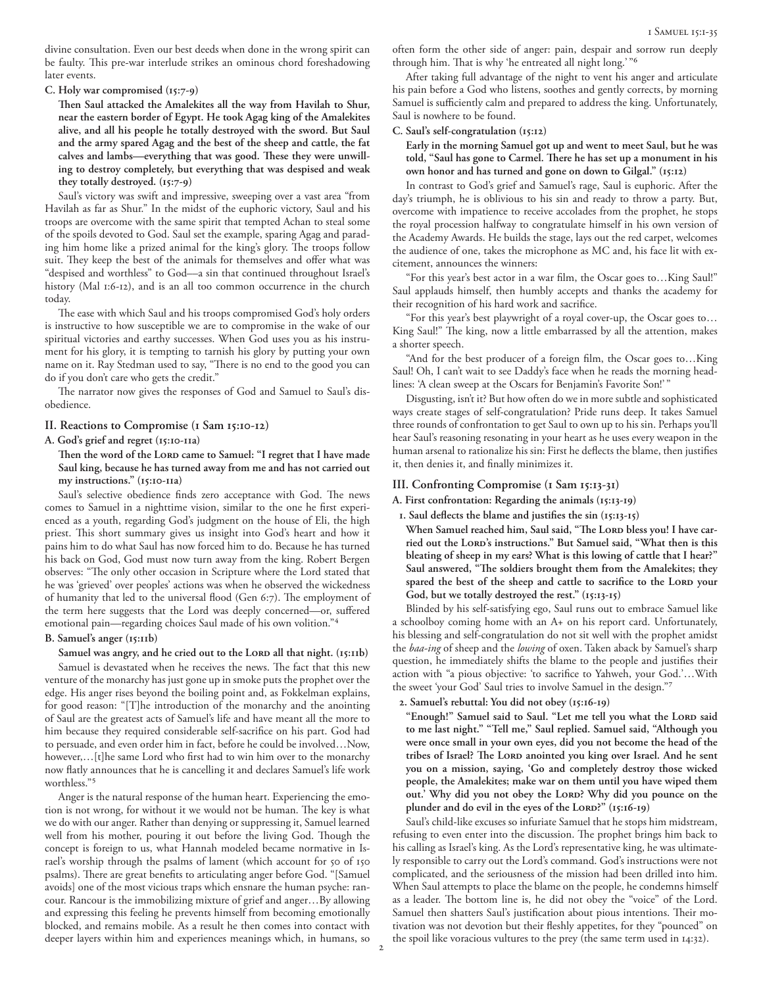divine consultation. Even our best deeds when done in the wrong spirit can be faulty. This pre-war interlude strikes an ominous chord foreshadowing later events.

**C. Holy war compromised (15:7-9)**

**Then Saul attacked the Amalekites all the way from Havilah to Shur, near the eastern border of Egypt. He took Agag king of the Amalekites alive, and all his people he totally destroyed with the sword. But Saul and the army spared Agag and the best of the sheep and cattle, the fat calves and lambs—everything that was good. These they were unwilling to destroy completely, but everything that was despised and weak they totally destroyed. (15:7-9)**

Saul's victory was swift and impressive, sweeping over a vast area "from Havilah as far as Shur." In the midst of the euphoric victory, Saul and his troops are overcome with the same spirit that tempted Achan to steal some of the spoils devoted to God. Saul set the example, sparing Agag and parading him home like a prized animal for the king's glory. The troops follow suit. They keep the best of the animals for themselves and offer what was "despised and worthless" to God––a sin that continued throughout Israel's history (Mal 1:6-12), and is an all too common occurrence in the church today.

The ease with which Saul and his troops compromised God's holy orders is instructive to how susceptible we are to compromise in the wake of our spiritual victories and earthy successes. When God uses you as his instrument for his glory, it is tempting to tarnish his glory by putting your own name on it. Ray Stedman used to say, "There is no end to the good you can do if you don't care who gets the credit."

The narrator now gives the responses of God and Samuel to Saul's disobedience.

# **II. Reactions to Compromise (1 Sam 15:10-12)**

#### **A. God's grief and regret (15:10-11a)**

Then the word of the LORD came to Samuel: "I regret that I have made **Saul king, because he has turned away from me and has not carried out my instructions." (15:10-11a)**

Saul's selective obedience finds zero acceptance with God. The news comes to Samuel in a nighttime vision, similar to the one he first experienced as a youth, regarding God's judgment on the house of Eli, the high priest. This short summary gives us insight into God's heart and how it pains him to do what Saul has now forced him to do. Because he has turned his back on God, God must now turn away from the king. Robert Bergen observes: "The only other occasion in Scripture where the Lord stated that he was 'grieved' over peoples' actions was when he observed the wickedness of humanity that led to the universal flood (Gen 6:7). The employment of the term here suggests that the Lord was deeply concerned—or, suffered emotional pain—regarding choices Saul made of his own volition."4

#### **B. Samuel's anger (15:11b)**

Samuel was angry, and he cried out to the LORD all that night. (15:11b) Samuel is devastated when he receives the news. The fact that this new venture of the monarchy has just gone up in smoke puts the prophet over the edge. His anger rises beyond the boiling point and, as Fokkelman explains, for good reason: "[T]he introduction of the monarchy and the anointing of Saul are the greatest acts of Samuel's life and have meant all the more to him because they required considerable self-sacrifice on his part. God had to persuade, and even order him in fact, before he could be involved…Now, however,…[t]he same Lord who first had to win him over to the monarchy now flatly announces that he is cancelling it and declares Samuel's life work worthless."5

Anger is the natural response of the human heart. Experiencing the emotion is not wrong, for without it we would not be human. The key is what we do with our anger. Rather than denying or suppressing it, Samuel learned well from his mother, pouring it out before the living God. Though the concept is foreign to us, what Hannah modeled became normative in Israel's worship through the psalms of lament (which account for 50 of 150 psalms). There are great benefits to articulating anger before God. "[Samuel avoids] one of the most vicious traps which ensnare the human psyche: rancour. Rancour is the immobilizing mixture of grief and anger…By allowing and expressing this feeling he prevents himself from becoming emotionally blocked, and remains mobile. As a result he then comes into contact with deeper layers within him and experiences meanings which, in humans, so often form the other side of anger: pain, despair and sorrow run deeply through him. That is why 'he entreated all night long.' "6

After taking full advantage of the night to vent his anger and articulate his pain before a God who listens, soothes and gently corrects, by morning Samuel is sufficiently calm and prepared to address the king. Unfortunately, Saul is nowhere to be found.

## **C. Saul's self-congratulation (15:12)**

**Early in the morning Samuel got up and went to meet Saul, but he was told, "Saul has gone to Carmel. There he has set up a monument in his own honor and has turned and gone on down to Gilgal." (15:12)**

In contrast to God's grief and Samuel's rage, Saul is euphoric. After the day's triumph, he is oblivious to his sin and ready to throw a party. But, overcome with impatience to receive accolades from the prophet, he stops the royal procession halfway to congratulate himself in his own version of the Academy Awards. He builds the stage, lays out the red carpet, welcomes the audience of one, takes the microphone as MC and, his face lit with excitement, announces the winners:

"For this year's best actor in a war film, the Oscar goes to…King Saul!" Saul applauds himself, then humbly accepts and thanks the academy for their recognition of his hard work and sacrifice.

"For this year's best playwright of a royal cover-up, the Oscar goes to… King Saul!" The king, now a little embarrassed by all the attention, makes a shorter speech.

"And for the best producer of a foreign film, the Oscar goes to…King Saul! Oh, I can't wait to see Daddy's face when he reads the morning headlines: 'A clean sweep at the Oscars for Benjamin's Favorite Son!' "

Disgusting, isn't it? But how often do we in more subtle and sophisticated ways create stages of self-congratulation? Pride runs deep. It takes Samuel three rounds of confrontation to get Saul to own up to his sin. Perhaps you'll hear Saul's reasoning resonating in your heart as he uses every weapon in the human arsenal to rationalize his sin: First he deflects the blame, then justifies it, then denies it, and finally minimizes it.

# **III. Confronting Compromise (1 Sam 15:13-31)**

**A. First confrontation: Regarding the animals (15:13-19)**

- **1. Saul deflects the blame and justifies the sin (15:13-15)**
- When Samuel reached him, Saul said, "The LORD bless you! I have carried out the LORD's instructions." But Samuel said, "What then is this **bleating of sheep in my ears? What is this lowing of cattle that I hear?" Saul answered, "The soldiers brought them from the Amalekites; they**  spared the best of the sheep and cattle to sacrifice to the LORD your **God, but we totally destroyed the rest." (15:13-15)**

Blinded by his self-satisfying ego, Saul runs out to embrace Samuel like a schoolboy coming home with an A+ on his report card. Unfortunately, his blessing and self-congratulation do not sit well with the prophet amidst the *baa-ing* of sheep and the *lowing* of oxen. Taken aback by Samuel's sharp question, he immediately shifts the blame to the people and justifies their action with "a pious objective: 'to sacrifice to Yahweh, your God.'…With the sweet 'your God' Saul tries to involve Samuel in the design."7

**2. Samuel's rebuttal: You did not obey (15:16-19)**

"Enough!" Samuel said to Saul. "Let me tell you what the LORD said **to me last night." "Tell me," Saul replied. Samuel said, "Although you were once small in your own eyes, did you not become the head of the**  tribes of Israel? The LORD anointed you king over Israel. And he sent **you on a mission, saying, 'Go and completely destroy those wicked people, the Amalekites; make war on them until you have wiped them**  out.' Why did you not obey the LORD? Why did you pounce on the **plunder and do evil in the eyes of the Lord?" (15:16-19)**

Saul's child-like excuses so infuriate Samuel that he stops him midstream, refusing to even enter into the discussion. The prophet brings him back to his calling as Israel's king. As the Lord's representative king, he was ultimately responsible to carry out the Lord's command. God's instructions were not complicated, and the seriousness of the mission had been drilled into him. When Saul attempts to place the blame on the people, he condemns himself as a leader. The bottom line is, he did not obey the "voice" of the Lord. Samuel then shatters Saul's justification about pious intentions. Their motivation was not devotion but their fleshly appetites, for they "pounced" on the spoil like voracious vultures to the prey (the same term used in 14:32).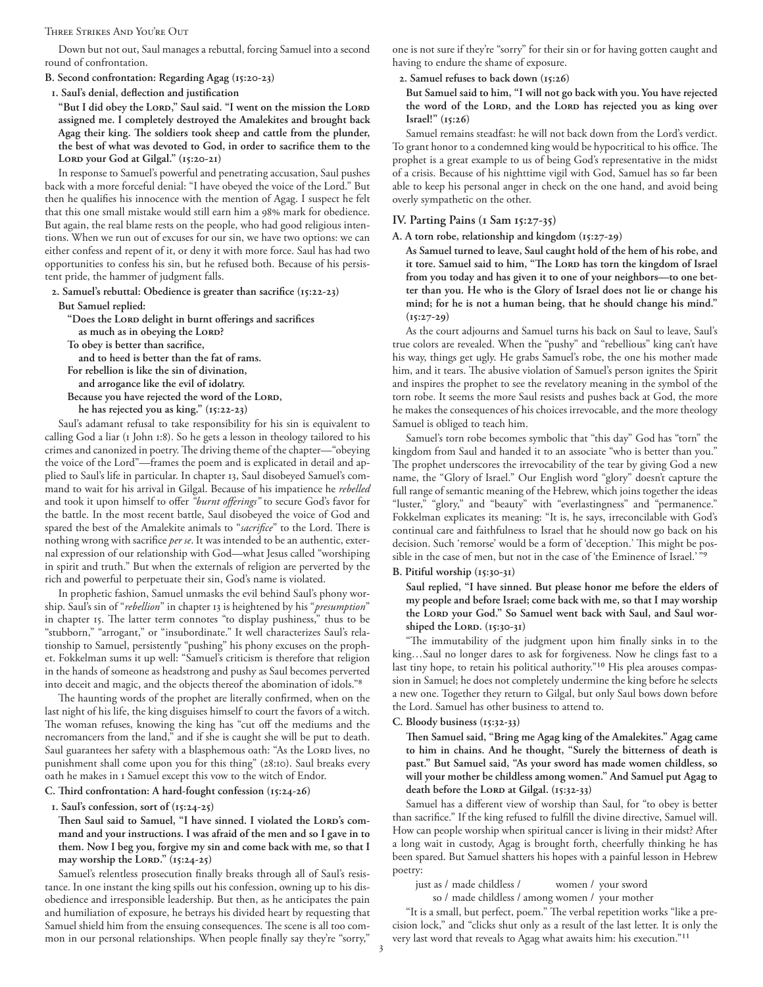#### Three Strikes And You're Out

Down but not out, Saul manages a rebuttal, forcing Samuel into a second round of confrontation.

**B. Second confrontation: Regarding Agag (15:20-23)**

**1. Saul's denial, deflection and justification**

"But I did obey the LORD," Saul said. "I went on the mission the LORD **assigned me. I completely destroyed the Amalekites and brought back Agag their king. The soldiers took sheep and cattle from the plunder, the best of what was devoted to God, in order to sacrifice them to the**  LORD your God at Gilgal." (15:20-21)

In response to Samuel's powerful and penetrating accusation, Saul pushes back with a more forceful denial: "I have obeyed the voice of the Lord." But then he qualifies his innocence with the mention of Agag. I suspect he felt that this one small mistake would still earn him a 98% mark for obedience. But again, the real blame rests on the people, who had good religious intentions. When we run out of excuses for our sin, we have two options: we can either confess and repent of it, or deny it with more force. Saul has had two opportunities to confess his sin, but he refused both. Because of his persistent pride, the hammer of judgment falls.

**2. Samuel's rebuttal: Obedience is greater than sacrifice (15:22-23)**

**But Samuel replied:**

**"Does the Lord delight in burnt offerings and sacrifices** as much as in obeying the LORD?

**To obey is better than sacrifice,**

 **and to heed is better than the fat of rams.**

**For rebellion is like the sin of divination,**

 **and arrogance like the evil of idolatry.**

Because you have rejected the word of the LORD,

 **he has rejected you as king." (15:22-23)**

Saul's adamant refusal to take responsibility for his sin is equivalent to calling God a liar (1 John 1:8). So he gets a lesson in theology tailored to his crimes and canonized in poetry. The driving theme of the chapter––"obeying the voice of the Lord"––frames the poem and is explicated in detail and applied to Saul's life in particular. In chapter 13, Saul disobeyed Samuel's command to wait for his arrival in Gilgal. Because of his impatience he *rebelled* and took it upon himself to offer *"burnt offerings"* to secure God's favor for the battle. In the most recent battle, Saul disobeyed the voice of God and spared the best of the Amalekite animals to "*sacrifice*" to the Lord. There is nothing wrong with sacrifice *per se*. It was intended to be an authentic, external expression of our relationship with God––what Jesus called "worshiping in spirit and truth." But when the externals of religion are perverted by the rich and powerful to perpetuate their sin, God's name is violated.

In prophetic fashion, Samuel unmasks the evil behind Saul's phony worship. Saul's sin of "*rebellion*" in chapter 13 is heightened by his "*presumption*" in chapter 15. The latter term connotes "to display pushiness," thus to be "stubborn," "arrogant," or "insubordinate." It well characterizes Saul's relationship to Samuel, persistently "pushing" his phony excuses on the prophet. Fokkelman sums it up well: "Samuel's criticism is therefore that religion in the hands of someone as headstrong and pushy as Saul becomes perverted into deceit and magic, and the objects thereof the abomination of idols."8

The haunting words of the prophet are literally confirmed, when on the last night of his life, the king disguises himself to court the favors of a witch. The woman refuses, knowing the king has "cut off the mediums and the necromancers from the land," and if she is caught she will be put to death. Saul guarantees her safety with a blasphemous oath: "As the LORD lives, no punishment shall come upon you for this thing" (28:10). Saul breaks every oath he makes in 1 Samuel except this vow to the witch of Endor.

# **C. Third confrontation: A hard-fought confession (15:24-26)**

## **1. Saul's confession, sort of (15:24-25)**

Then Saul said to Samuel, "I have sinned. I violated the LORD's com**mand and your instructions. I was afraid of the men and so I gave in to them. Now I beg you, forgive my sin and come back with me, so that I may worship the Lord." (15:24-25)**

Samuel's relentless prosecution finally breaks through all of Saul's resistance. In one instant the king spills out his confession, owning up to his disobedience and irresponsible leadership. But then, as he anticipates the pain and humiliation of exposure, he betrays his divided heart by requesting that Samuel shield him from the ensuing consequences. The scene is all too common in our personal relationships. When people finally say they're "sorry,"

one is not sure if they're "sorry" for their sin or for having gotten caught and having to endure the shame of exposure.

**2. Samuel refuses to back down (15:26)**

**But Samuel said to him, "I will not go back with you. You have rejected**  the word of the LORD, and the LORD has rejected you as king over **Israel!" (15:26)**

Samuel remains steadfast: he will not back down from the Lord's verdict. To grant honor to a condemned king would be hypocritical to his office. The prophet is a great example to us of being God's representative in the midst of a crisis. Because of his nighttime vigil with God, Samuel has so far been able to keep his personal anger in check on the one hand, and avoid being overly sympathetic on the other.

## **IV. Parting Pains (1 Sam 15:27-35)**

**A. A torn robe, relationship and kingdom (15:27-29)**

**As Samuel turned to leave, Saul caught hold of the hem of his robe, and**  it tore. Samuel said to him, "The Lor<sub>D</sub> has torn the kingdom of Israel **from you today and has given it to one of your neighbors—to one better than you. He who is the Glory of Israel does not lie or change his mind; for he is not a human being, that he should change his mind." (15:27-29)**

As the court adjourns and Samuel turns his back on Saul to leave, Saul's true colors are revealed. When the "pushy" and "rebellious" king can't have his way, things get ugly. He grabs Samuel's robe, the one his mother made him, and it tears. The abusive violation of Samuel's person ignites the Spirit and inspires the prophet to see the revelatory meaning in the symbol of the torn robe. It seems the more Saul resists and pushes back at God, the more he makes the consequences of his choices irrevocable, and the more theology Samuel is obliged to teach him.

Samuel's torn robe becomes symbolic that "this day" God has "torn" the kingdom from Saul and handed it to an associate "who is better than you." The prophet underscores the irrevocability of the tear by giving God a new name, the "Glory of Israel." Our English word "glory" doesn't capture the full range of semantic meaning of the Hebrew, which joins together the ideas "luster," "glory," and "beauty" with "everlastingness" and "permanence." Fokkelman explicates its meaning: "It is, he says, irreconcilable with God's continual care and faithfulness to Israel that he should now go back on his decision. Such 'remorse' would be a form of 'deception.' This might be possible in the case of men, but not in the case of 'the Eminence of Israel.'"9

#### **B. Pitiful worship (15:30-31)**

**Saul replied, "I have sinned. But please honor me before the elders of my people and before Israel; come back with me, so that I may worship**  the Lord your God." So Samuel went back with Saul, and Saul worshiped the LORD. (15:30-31)

"The immutability of the judgment upon him finally sinks in to the king…Saul no longer dares to ask for forgiveness. Now he clings fast to a last tiny hope, to retain his political authority."10 His plea arouses compassion in Samuel; he does not completely undermine the king before he selects a new one. Together they return to Gilgal, but only Saul bows down before the Lord. Samuel has other business to attend to.

## **C. Bloody business (15:32-33)**

**Then Samuel said, "Bring me Agag king of the Amalekites." Agag came to him in chains. And he thought, "Surely the bitterness of death is past." But Samuel said, "As your sword has made women childless, so will your mother be childless among women." And Samuel put Agag to**  death before the LORD at Gilgal. (15:32-33)

Samuel has a different view of worship than Saul, for "to obey is better than sacrifice." If the king refused to fulfill the divine directive, Samuel will. How can people worship when spiritual cancer is living in their midst? After a long wait in custody, Agag is brought forth, cheerfully thinking he has been spared. But Samuel shatters his hopes with a painful lesson in Hebrew poetry:

just as / made childless / women / your sword so / made childless / among women / your mother

"It is a small, but perfect, poem." The verbal repetition works "like a precision lock," and "clicks shut only as a result of the last letter. It is only the very last word that reveals to Agag what awaits him: his execution."11